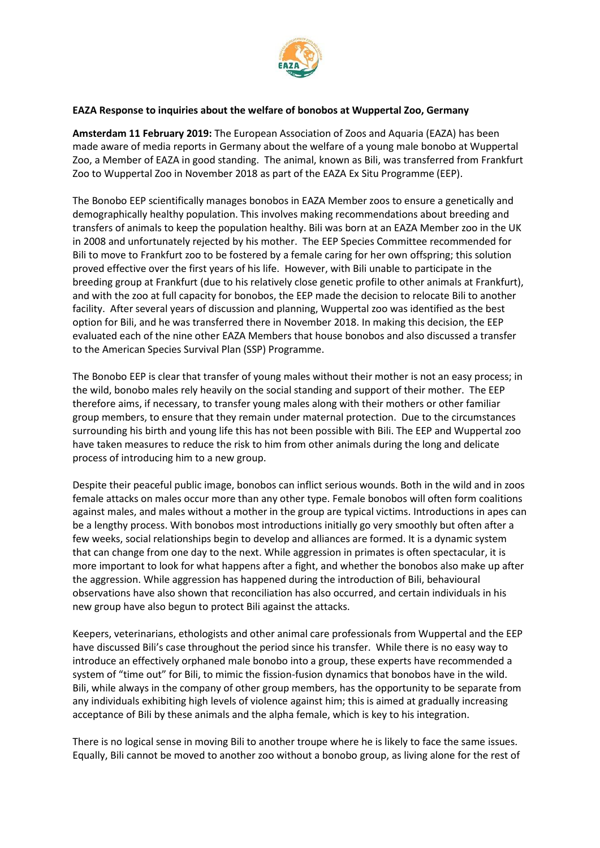

## **EAZA Response to inquiries about the welfare of bonobos at Wuppertal Zoo, Germany**

**Amsterdam 11 February 2019:** The European Association of Zoos and Aquaria (EAZA) has been made aware of media reports in Germany about the welfare of a young male bonobo at Wuppertal Zoo, a Member of EAZA in good standing. The animal, known as Bili, was transferred from Frankfurt Zoo to Wuppertal Zoo in November 2018 as part of the EAZA Ex Situ Programme (EEP).

The Bonobo EEP scientifically manages bonobos in EAZA Member zoos to ensure a genetically and demographically healthy population. This involves making recommendations about breeding and transfers of animals to keep the population healthy. Bili was born at an EAZA Member zoo in the UK in 2008 and unfortunately rejected by his mother. The EEP Species Committee recommended for Bili to move to Frankfurt zoo to be fostered by a female caring for her own offspring; this solution proved effective over the first years of his life. However, with Bili unable to participate in the breeding group at Frankfurt (due to his relatively close genetic profile to other animals at Frankfurt), and with the zoo at full capacity for bonobos, the EEP made the decision to relocate Bili to another facility. After several years of discussion and planning, Wuppertal zoo was identified as the best option for Bili, and he was transferred there in November 2018. In making this decision, the EEP evaluated each of the nine other EAZA Members that house bonobos and also discussed a transfer to the American Species Survival Plan (SSP) Programme.

The Bonobo EEP is clear that transfer of young males without their mother is not an easy process; in the wild, bonobo males rely heavily on the social standing and support of their mother. The EEP therefore aims, if necessary, to transfer young males along with their mothers or other familiar group members, to ensure that they remain under maternal protection. Due to the circumstances surrounding his birth and young life this has not been possible with Bili. The EEP and Wuppertal zoo have taken measures to reduce the risk to him from other animals during the long and delicate process of introducing him to a new group.

Despite their peaceful public image, bonobos can inflict serious wounds. Both in the wild and in zoos female attacks on males occur more than any other type. Female bonobos will often form coalitions against males, and males without a mother in the group are typical victims. Introductions in apes can be a lengthy process. With bonobos most introductions initially go very smoothly but often after a few weeks, social relationships begin to develop and alliances are formed. It is a dynamic system that can change from one day to the next. While aggression in primates is often spectacular, it is more important to look for what happens after a fight, and whether the bonobos also make up after the aggression. While aggression has happened during the introduction of Bili, behavioural observations have also shown that reconciliation has also occurred, and certain individuals in his new group have also begun to protect Bili against the attacks.

Keepers, veterinarians, ethologists and other animal care professionals from Wuppertal and the EEP have discussed Bili's case throughout the period since his transfer. While there is no easy way to introduce an effectively orphaned male bonobo into a group, these experts have recommended a system of "time out" for Bili, to mimic the fission-fusion dynamics that bonobos have in the wild. Bili, while always in the company of other group members, has the opportunity to be separate from any individuals exhibiting high levels of violence against him; this is aimed at gradually increasing acceptance of Bili by these animals and the alpha female, which is key to his integration.

There is no logical sense in moving Bili to another troupe where he is likely to face the same issues. Equally, Bili cannot be moved to another zoo without a bonobo group, as living alone for the rest of